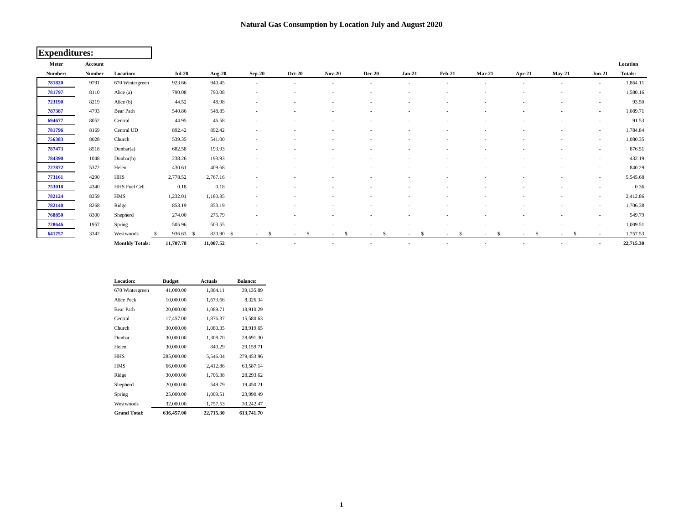## **Natural Gas Consumption by Location July and August 2020**

| <b>Expenditures:</b> |               |                        |                |               |                          |               |                          |                          |                          |                                |                          |                          |                          |                          |           |
|----------------------|---------------|------------------------|----------------|---------------|--------------------------|---------------|--------------------------|--------------------------|--------------------------|--------------------------------|--------------------------|--------------------------|--------------------------|--------------------------|-----------|
| Meter                | Account       |                        |                |               |                          |               |                          |                          |                          |                                |                          |                          |                          |                          | Location  |
| Number:              | <b>Number</b> | Location:              | $Jul-20$       | <b>Aug-20</b> | $Sep-20$                 | <b>Oct-20</b> | <b>Nov-20</b>            | <b>Dec-20</b>            | $Jan-21$                 | <b>Feb-21</b>                  | $Mar-21$                 | Apr-21                   | <b>May-21</b>            | $Jun-21$                 | Totals:   |
| 781820               | 9791          | 670 Wintergreen        | 923.66         | 940.45        | $\sim$                   |               | $\overline{\phantom{a}}$ | $\sim$                   | $\overline{\phantom{a}}$ | $\overline{\phantom{a}}$       | $\overline{\phantom{a}}$ | $\overline{\phantom{a}}$ | $\sim$                   | $\sim$                   | 1,864.11  |
| 781797               | 8110          | Alice (a)              | 790.08         | 790.08        |                          |               |                          |                          |                          |                                |                          |                          |                          | $\sim$                   | 1,580.16  |
| 723190               | 8219          | Alice (b)              | 44.52          | 48.98         |                          |               |                          |                          |                          |                                |                          |                          |                          | $\overline{\phantom{a}}$ | 93.50     |
| 787387               | 4793          | Bear Path              | 540.86         | 548.85        |                          |               |                          |                          |                          |                                |                          |                          |                          | $\overline{\phantom{a}}$ | 1,089.71  |
| 694677               | 8052          | Central                | 44.95          | 46.58         | $\overline{\phantom{a}}$ |               | $\overline{\phantom{a}}$ |                          | <b>.</b>                 | $\overline{\phantom{a}}$       |                          | ٠                        | $\overline{\phantom{a}}$ | $\sim$                   | 91.53     |
| 781796               | 8169          | Central UD             | 892.42         | 892.42        |                          |               | $\overline{a}$           |                          |                          | ۰                              |                          |                          |                          | $\sim$                   | 1,784.84  |
| 756383               | 8028          | Church                 | 539.35         | 541.00        | $\sim$                   |               | $\overline{\phantom{a}}$ |                          | $\overline{\phantom{a}}$ | $\overline{\phantom{a}}$       |                          | $\overline{\phantom{a}}$ | $\sim$                   | $\sim$                   | 1,080.35  |
| 787473               | 8518          | Dunbar(a)              | 682.58         | 193.93        |                          |               |                          |                          |                          |                                |                          |                          |                          | $\overline{\phantom{a}}$ | 876.51    |
| 784390               | 1048          | Dunbar(b)              | 238.26         | 193.93        |                          |               |                          |                          |                          |                                |                          |                          |                          | $\overline{\phantom{a}}$ | 432.19    |
| 727872               | 5372          | Helen                  | 430.61         | 409.68        | $\overline{\phantom{a}}$ |               |                          |                          |                          |                                |                          |                          |                          | $\overline{\phantom{a}}$ | 840.29    |
| 773161               | 4290          | <b>HHS</b>             | 2,778.52       | 2,767.16      |                          |               |                          | ٠                        | $\overline{\phantom{a}}$ |                                |                          | $\overline{\phantom{a}}$ | $\sim$                   | $\sim$                   | 5,545.68  |
| 753018               | 4340          | HHS Fuel Cell          | 0.18           | 0.18          | $\overline{\phantom{a}}$ |               | $\overline{\phantom{a}}$ |                          |                          |                                |                          |                          | $\overline{\phantom{a}}$ | $\sim$                   | 0.36      |
| 782124               | 8359          | HMS                    | 1,232.01       | 1,180.85      |                          |               |                          |                          |                          |                                |                          |                          |                          | $\sim$                   | 2,412.86  |
| 782140               | 8268          | Ridge                  | 853.19         | 853.19        | $\overline{\phantom{a}}$ |               |                          |                          |                          |                                |                          |                          |                          | $\sim$                   | 1,706.38  |
| 768850               | 8300          | Shepherd               | 274.00         | 275.79        |                          |               |                          |                          |                          |                                |                          |                          |                          | $\sim$                   | 549.79    |
| 728646               | 1957          | Spring                 | 505.96         | 503.55        |                          |               |                          |                          |                          |                                |                          |                          | $\overline{\phantom{a}}$ | $\sim$                   | 1,009.51  |
| 641757               | 3342          | Westwoods              | 936.63<br>- \$ | 820.90 \$     | $\mathcal{S}$<br>$\sim$  | -S<br>$\sim$  | -S<br>$\sim$             | \$<br>$\sim$             | -S<br>$\sim$             | -S<br>$\overline{\phantom{a}}$ | -S<br>$\sim$             | -S<br>$\sim$             | -S<br>$\sim$             | $\sim$                   | 1,757.53  |
|                      |               | <b>Monthly Totals:</b> | 11,707.78      | 11,007.52     |                          |               |                          | $\overline{\phantom{a}}$ | $\overline{\phantom{a}}$ | ٠                              |                          | $\overline{\phantom{a}}$ |                          | $\overline{\phantom{a}}$ | 22,715.30 |

| Location:           | <b>Budget</b> | <b>Actuals</b> | <b>Balance:</b> |
|---------------------|---------------|----------------|-----------------|
| 670 Wintergreen     | 41,000.00     | 1,864.11       | 39,135.89       |
| Alice Peck          | 10,000.00     | 1,673.66       | 8,326.34        |
| <b>Bear Path</b>    | 20,000.00     | 1,089.71       | 18.910.29       |
| Central             | 17,457.00     | 1,876.37       | 15,580.63       |
| Church              | 30,000.00     | 1,080.35       | 28,919.65       |
| Dunbar              | 30,000.00     | 1,308.70       | 28,691.30       |
| Helen               | 30,000.00     | 840.29         | 29,159.71       |
| HHS                 | 285,000.00    | 5,546.04       | 279,453.96      |
| <b>HMS</b>          | 66,000.00     | 2,412.86       | 63.587.14       |
| Ridge               | 30,000.00     | 1.706.38       | 28,293.62       |
| Shepherd            | 20,000.00     | 549.79         | 19,450.21       |
| Spring              | 25,000.00     | 1,009.51       | 23,990.49       |
| Westwoods           | 32,000.00     | 1,757.53       | 30,242.47       |
| <b>Grand Total:</b> | 636,457.00    | 22,715.30      | 613,741.70      |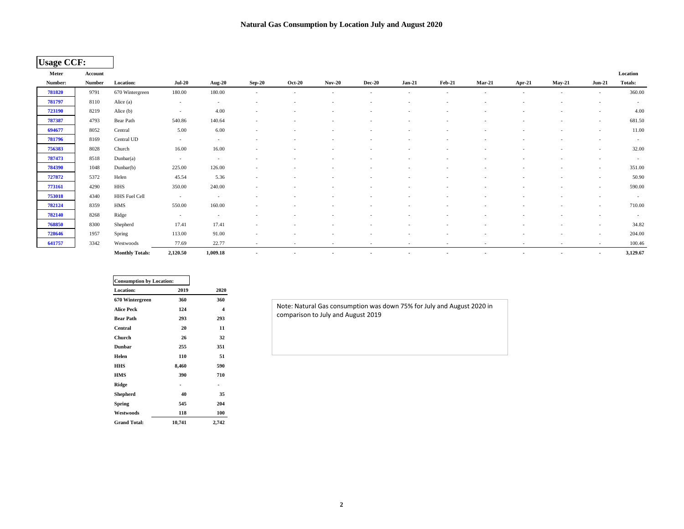| <b>Usage CCF:</b> |               |                        |                 |               |                          |                          |                          |                          |                          |                          |                          |                          |                          |                          |                |
|-------------------|---------------|------------------------|-----------------|---------------|--------------------------|--------------------------|--------------------------|--------------------------|--------------------------|--------------------------|--------------------------|--------------------------|--------------------------|--------------------------|----------------|
| Meter             | Account       |                        |                 |               |                          |                          |                          |                          |                          |                          |                          |                          |                          |                          | Location       |
| Number:           | <b>Number</b> | <b>Location:</b>       | <b>Jul-20</b>   | <b>Aug-20</b> | <b>Sep-20</b>            | <b>Oct-20</b>            | <b>Nov-20</b>            | <b>Dec-20</b>            | $Jan-21$                 | <b>Feb-21</b>            | $Mar-21$                 | Apr-21                   | <b>May-21</b>            | $Jun-21$                 | <b>Totals:</b> |
| 781820            | 9791          | 670 Wintergreen        | 180.00          | 180.00        | $\sim$                   | $\sim$                   | $\overline{\phantom{a}}$ | $\overline{a}$           | $\sim$                   | $\overline{\phantom{a}}$ | $\sim$                   | $\overline{\phantom{a}}$ | $\sim$                   | $\sim$                   | 360.00         |
| 781797            | 8110          | Alice (a)              | $\sim$          | $\sim$        |                          |                          |                          |                          |                          |                          |                          |                          |                          |                          | $\sim$         |
| 723190            | 8219          | Alice (b)              | $\sim$          | 4.00          | $\overline{\phantom{a}}$ |                          |                          |                          |                          |                          |                          |                          |                          |                          | 4.00           |
| 787387            | 4793          | Bear Path              | 540.86          | 140.64        | $\sim$                   |                          |                          |                          |                          |                          |                          |                          | $\overline{\phantom{a}}$ | $\overline{\phantom{a}}$ | 681.50         |
| 694677            | 8052          | Central                | 5.00            | 6.00          | $\overline{\phantom{a}}$ |                          |                          |                          |                          |                          |                          |                          |                          | $\sim$                   | 11.00          |
| 781796            | 8169          | Central UD             | $\sim$ 10 $\pm$ | $\sim$        | $\overline{\phantom{a}}$ |                          |                          |                          |                          |                          |                          | $\overline{\phantom{a}}$ | $\overline{\phantom{0}}$ | $\overline{\phantom{a}}$ | $\sim$         |
| 756383            | 8028          | Church                 | 16.00           | 16.00         | $\sim$                   | $\overline{\phantom{a}}$ | $\overline{\phantom{a}}$ | $\overline{\phantom{a}}$ | $\overline{\phantom{a}}$ | $\overline{\phantom{a}}$ |                          | $\overline{\phantom{a}}$ | $\overline{\phantom{a}}$ | $\sim$                   | 32.00          |
| 787473            | 8518          | Dunbar(a)              | $\sim$          | $\sim$        |                          |                          |                          |                          |                          |                          |                          | $\overline{\phantom{a}}$ |                          | $\overline{\phantom{a}}$ | $\sim$         |
| 784390            | 1048          | Dunbar(b)              | 225.00          | 126.00        | $\sim$                   |                          |                          |                          |                          |                          |                          |                          |                          | $\overline{\phantom{a}}$ | 351.00         |
| 727872            | 5372          | Helen                  | 45.54           | 5.36          | $\sim$                   | $\overline{\phantom{a}}$ | $\overline{\phantom{a}}$ |                          | $\overline{\phantom{a}}$ | $\overline{\phantom{a}}$ |                          | $\overline{\phantom{a}}$ | $\overline{\phantom{a}}$ | $\overline{\phantom{a}}$ | 50.90          |
| 773161            | 4290          | HHS                    | 350.00          | 240.00        |                          |                          |                          |                          |                          |                          |                          |                          |                          | $\overline{\phantom{a}}$ | 590.00         |
| 753018            | 4340          | HHS Fuel Cell          | $\sim$          | $\sim$        |                          | $\overline{\phantom{a}}$ | $\overline{\phantom{a}}$ |                          |                          | $\overline{\phantom{a}}$ |                          | $\overline{\phantom{a}}$ | $\overline{\phantom{a}}$ | $\sim$                   | $\sim$         |
| 782124            | 8359          | HMS                    | 550.00          | 160.00        | $\overline{\phantom{a}}$ |                          |                          |                          |                          |                          |                          |                          |                          | $\sim$                   | 710.00         |
| 782140            | 8268          | Ridge                  | $\sim$          | $\sim$        | $\overline{\phantom{a}}$ |                          |                          |                          | $\overline{\phantom{a}}$ |                          |                          | $\overline{\phantom{a}}$ |                          | $\overline{\phantom{a}}$ | $\sim$         |
| 768850            | 8300          | Shepherd               | 17.41           | 17.41         |                          |                          |                          |                          |                          |                          |                          |                          |                          | $\overline{\phantom{a}}$ | 34.82          |
| 728646            | 1957          | Spring                 | 113.00          | 91.00         |                          |                          | $\overline{\phantom{a}}$ |                          | $\overline{\phantom{a}}$ | $\overline{\phantom{a}}$ |                          | $\overline{\phantom{a}}$ | $\overline{\phantom{a}}$ | $\overline{\phantom{a}}$ | 204.00         |
| 641757            | 3342          | Westwoods              | 77.69           | 22.77         | $\sim$                   | $\sim$                   | $\overline{\phantom{a}}$ | $\sim$                   | $\sim$                   | $\sim$                   | $\sim$                   | $\sim$                   | $\overline{\phantom{a}}$ | $\sim$                   | 100.46         |
|                   |               | <b>Monthly Totals:</b> | 2,120.50        | 1,009.18      | $\overline{\phantom{a}}$ | $\sim$                   | $\blacksquare$           | $\blacksquare$           | $\overline{\phantom{a}}$ | $\overline{\phantom{a}}$ | $\overline{\phantom{a}}$ | $\blacksquare$           | $\overline{\phantom{a}}$ | $\sim$                   | 3,129.67       |

| <b>Consumption by Location:</b> |        |       |
|---------------------------------|--------|-------|
| <b>Location:</b>                | 2019   | 2020  |
| 670 Wintergreen                 | 360    | 360   |
| <b>Alice Peck</b>               | 124    | 4     |
| <b>Bear Path</b>                | 293    | 293   |
| Central                         | 20     | 11    |
| Church                          | 26     | 32    |
| <b>Dunbar</b>                   | 255    | 351   |
| Helen                           | 110    | 51    |
| HHS                             | 8,460  | 590   |
| <b>HMS</b>                      | 390    | 710   |
| Ridge                           |        | ٠     |
| Shepherd                        | 40     | 35    |
| Spring                          | 545    | 204   |
| Westwoods                       | 118    | 100   |
| <b>Grand Total:</b>             | 10,741 | 2,742 |

Note: Natural Gas consumption was down 75% for July and August 2020 in comparison to July and August 2019